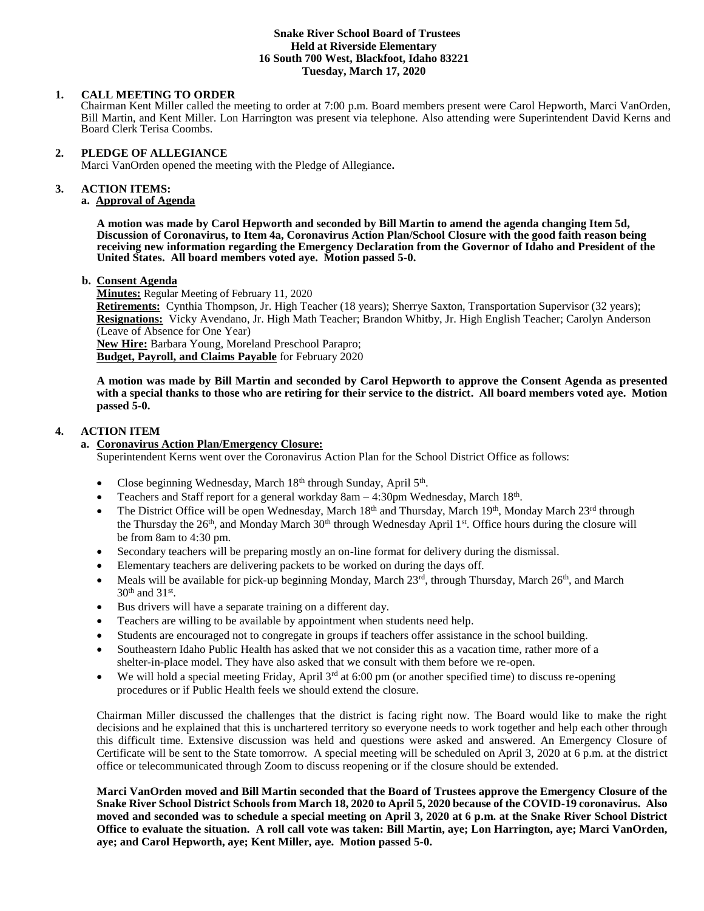#### **Snake River School Board of Trustees Held at Riverside Elementary 16 South 700 West, Blackfoot, Idaho 83221 Tuesday, March 17, 2020**

#### **1. CALL MEETING TO ORDER**

Chairman Kent Miller called the meeting to order at 7:00 p.m. Board members present were Carol Hepworth, Marci VanOrden, Bill Martin, and Kent Miller. Lon Harrington was present via telephone. Also attending were Superintendent David Kerns and Board Clerk Terisa Coombs.

#### **2. PLEDGE OF ALLEGIANCE**

Marci VanOrden opened the meeting with the Pledge of Allegiance**.** 

#### 3. **3. ACTION ITEMS:**

# **a. Approval of Agenda**

**A motion was made by Carol Hepworth and seconded by Bill Martin to amend the agenda changing Item 5d, Discussion of Coronavirus, to Item 4a, Coronavirus Action Plan/School Closure with the good faith reason being receiving new information regarding the Emergency Declaration from the Governor of Idaho and President of the United States. All board members voted aye. Motion passed 5-0.**

#### **b. Consent Agenda**

**Minutes:** Regular Meeting of February 11, 2020

**Retirements:** Cynthia Thompson, Jr. High Teacher (18 years); Sherrye Saxton, Transportation Supervisor (32 years); **Resignations:** Vicky Avendano, Jr. High Math Teacher; Brandon Whitby, Jr. High English Teacher; Carolyn Anderson (Leave of Absence for One Year)

**New Hire:** Barbara Young, Moreland Preschool Parapro; **Budget, Payroll, and Claims Payable** for February 2020

**A motion was made by Bill Martin and seconded by Carol Hepworth to approve the Consent Agenda as presented with a special thanks to those who are retiring for their service to the district. All board members voted aye. Motion passed 5-0.**

# **4. ACTION ITEM**

#### **a. Coronavirus Action Plan/Emergency Closure:**

Superintendent Kerns went over the Coronavirus Action Plan for the School District Office as follows:

- Close beginning Wednesday, March  $18<sup>th</sup>$  through Sunday, April  $5<sup>th</sup>$ .
- Teachers and Staff report for a general workday  $8am 4:30pm$  Wednesday, March  $18<sup>th</sup>$ .
- The District Office will be open Wednesday, March 18<sup>th</sup> and Thursday, March 19<sup>th</sup>, Monday March 23<sup>rd</sup> through the Thursday the  $26<sup>th</sup>$ , and Monday March  $30<sup>th</sup>$  through Wednesday April  $1<sup>st</sup>$ . Office hours during the closure will be from 8am to 4:30 pm.
- Secondary teachers will be preparing mostly an on-line format for delivery during the dismissal.
- Elementary teachers are delivering packets to be worked on during the days off.
- Meals will be available for pick-up beginning Monday, March  $23^{rd}$ , through Thursday, March  $26^{th}$ , and March  $30<sup>th</sup>$  and  $31<sup>st</sup>$ .
- Bus drivers will have a separate training on a different day.
- Teachers are willing to be available by appointment when students need help.
- Students are encouraged not to congregate in groups if teachers offer assistance in the school building.
- Southeastern Idaho Public Health has asked that we not consider this as a vacation time, rather more of a shelter-in-place model. They have also asked that we consult with them before we re-open.
- We will hold a special meeting Friday, April 3<sup>rd</sup> at 6:00 pm (or another specified time) to discuss re-opening procedures or if Public Health feels we should extend the closure.

Chairman Miller discussed the challenges that the district is facing right now. The Board would like to make the right decisions and he explained that this is unchartered territory so everyone needs to work together and help each other through this difficult time. Extensive discussion was held and questions were asked and answered. An Emergency Closure of Certificate will be sent to the State tomorrow. A special meeting will be scheduled on April 3, 2020 at 6 p.m. at the district office or telecommunicated through Zoom to discuss reopening or if the closure should be extended.

**Marci VanOrden moved and Bill Martin seconded that the Board of Trustees approve the Emergency Closure of the Snake River School District Schools from March 18, 2020 to April 5, 2020 because of the COVID-19 coronavirus. Also moved and seconded was to schedule a special meeting on April 3, 2020 at 6 p.m. at the Snake River School District Office to evaluate the situation. A roll call vote was taken: Bill Martin, aye; Lon Harrington, aye; Marci VanOrden, aye; and Carol Hepworth, aye; Kent Miller, aye. Motion passed 5-0.**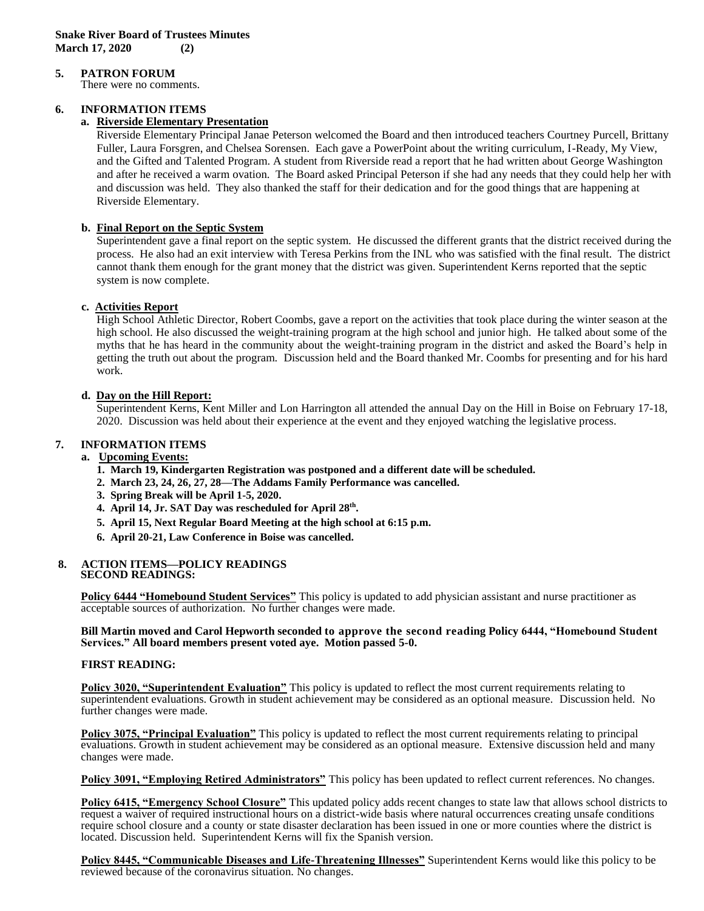# **5. PATRON FORUM**

There were no comments.

# **6. INFORMATION ITEMS**

#### **a. Riverside Elementary Presentation**

Riverside Elementary Principal Janae Peterson welcomed the Board and then introduced teachers Courtney Purcell, Brittany Fuller, Laura Forsgren, and Chelsea Sorensen. Each gave a PowerPoint about the writing curriculum, I-Ready, My View, and the Gifted and Talented Program. A student from Riverside read a report that he had written about George Washington and after he received a warm ovation. The Board asked Principal Peterson if she had any needs that they could help her with and discussion was held. They also thanked the staff for their dedication and for the good things that are happening at Riverside Elementary.

# **b. Final Report on the Septic System**

Superintendent gave a final report on the septic system. He discussed the different grants that the district received during the process. He also had an exit interview with Teresa Perkins from the INL who was satisfied with the final result. The district cannot thank them enough for the grant money that the district was given. Superintendent Kerns reported that the septic system is now complete.

# **c. Activities Report**

High School Athletic Director, Robert Coombs, gave a report on the activities that took place during the winter season at the high school. He also discussed the weight-training program at the high school and junior high. He talked about some of the myths that he has heard in the community about the weight-training program in the district and asked the Board's help in getting the truth out about the program. Discussion held and the Board thanked Mr. Coombs for presenting and for his hard work.

#### **d. Day on the Hill Report:**

Superintendent Kerns, Kent Miller and Lon Harrington all attended the annual Day on the Hill in Boise on February 17-18, 2020. Discussion was held about their experience at the event and they enjoyed watching the legislative process.

# **7. INFORMATION ITEMS**

#### **a. Upcoming Events:**

- **1. March 19, Kindergarten Registration was postponed and a different date will be scheduled.**
- **2. March 23, 24, 26, 27, 28—The Addams Family Performance was cancelled.**
- **3. Spring Break will be April 1-5, 2020.**
- **4. April 14, Jr. SAT Day was rescheduled for April 28th .**
- **5. April 15, Next Regular Board Meeting at the high school at 6:15 p.m.**
- **6. April 20-21, Law Conference in Boise was cancelled.**

#### **8. ACTION ITEMS—POLICY READINGS SECOND READINGS:**

**Policy 6444 "Homebound Student Services"** This policy is updated to add physician assistant and nurse practitioner as acceptable sources of authorization. No further changes were made.

#### **Bill Martin moved and Carol Hepworth seconded to approve the second reading Policy 6444, "Homebound Student Services." All board members present voted aye. Motion passed 5-0.**

#### **FIRST READING:**

**Policy 3020, "Superintendent Evaluation"** This policy is updated to reflect the most current requirements relating to superintendent evaluations. Growth in student achievement may be considered as an optional measure. Discussion held. No further changes were made.

**Policy 3075, "Principal Evaluation"** This policy is updated to reflect the most current requirements relating to principal evaluations. Growth in student achievement may be considered as an optional measure. Extensive discussion held and many changes were made.

**Policy 3091, "Employing Retired Administrators"** This policy has been updated to reflect current references. No changes.

**Policy 6415, "Emergency School Closure"** This updated policy adds recent changes to state law that allows school districts to request a waiver of required instructional hours on a district-wide basis where natural occurrences creating unsafe conditions require school closure and a county or state disaster declaration has been issued in one or more counties where the district is located. Discussion held. Superintendent Kerns will fix the Spanish version.

**Policy 8445, "Communicable Diseases and Life-Threatening Illnesses"** Superintendent Kerns would like this policy to be reviewed because of the coronavirus situation. No changes.